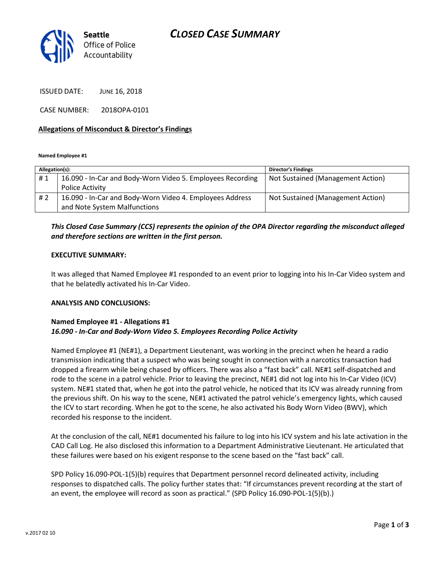

ISSUED DATE: JUNE 16, 2018

CASE NUMBER: 2018OPA-0101

#### Allegations of Misconduct & Director's Findings

Named Employee #1

| Allegation(s): |                                                            | <b>Director's Findings</b>        |
|----------------|------------------------------------------------------------|-----------------------------------|
| #1             | 16.090 - In-Car and Body-Worn Video 5. Employees Recording | Not Sustained (Management Action) |
|                | Police Activity                                            |                                   |
| # 2            | 16.090 - In-Car and Body-Worn Video 4. Employees Address   | Not Sustained (Management Action) |
|                | and Note System Malfunctions                               |                                   |

### This Closed Case Summary (CCS) represents the opinion of the OPA Director regarding the misconduct alleged and therefore sections are written in the first person.

#### EXECUTIVE SUMMARY:

It was alleged that Named Employee #1 responded to an event prior to logging into his In-Car Video system and that he belatedly activated his In-Car Video.

#### ANALYSIS AND CONCLUSIONS:

#### Named Employee #1 - Allegations #1 16.090 - In-Car and Body-Worn Video 5. Employees Recording Police Activity

Named Employee #1 (NE#1), a Department Lieutenant, was working in the precinct when he heard a radio transmission indicating that a suspect who was being sought in connection with a narcotics transaction had dropped a firearm while being chased by officers. There was also a "fast back" call. NE#1 self-dispatched and rode to the scene in a patrol vehicle. Prior to leaving the precinct, NE#1 did not log into his In-Car Video (ICV) system. NE#1 stated that, when he got into the patrol vehicle, he noticed that its ICV was already running from the previous shift. On his way to the scene, NE#1 activated the patrol vehicle's emergency lights, which caused the ICV to start recording. When he got to the scene, he also activated his Body Worn Video (BWV), which recorded his response to the incident.

At the conclusion of the call, NE#1 documented his failure to log into his ICV system and his late activation in the CAD Call Log. He also disclosed this information to a Department Administrative Lieutenant. He articulated that these failures were based on his exigent response to the scene based on the "fast back" call.

SPD Policy 16.090-POL-1(5)(b) requires that Department personnel record delineated activity, including responses to dispatched calls. The policy further states that: "If circumstances prevent recording at the start of an event, the employee will record as soon as practical." (SPD Policy 16.090-POL-1(5)(b).)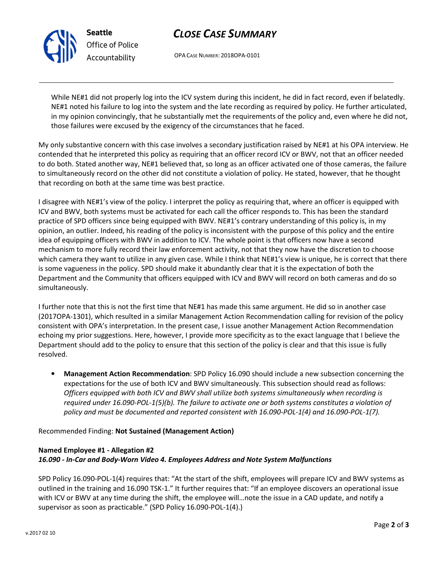

Seattle Office of Police Accountability

# CLOSE CASE SUMMARY

OPA CASE NUMBER: 2018OPA-0101

While NE#1 did not properly log into the ICV system during this incident, he did in fact record, even if belatedly. NE#1 noted his failure to log into the system and the late recording as required by policy. He further articulated, in my opinion convincingly, that he substantially met the requirements of the policy and, even where he did not, those failures were excused by the exigency of the circumstances that he faced.

My only substantive concern with this case involves a secondary justification raised by NE#1 at his OPA interview. He contended that he interpreted this policy as requiring that an officer record ICV or BWV, not that an officer needed to do both. Stated another way, NE#1 believed that, so long as an officer activated one of those cameras, the failure to simultaneously record on the other did not constitute a violation of policy. He stated, however, that he thought that recording on both at the same time was best practice.

I disagree with NE#1's view of the policy. I interpret the policy as requiring that, where an officer is equipped with ICV and BWV, both systems must be activated for each call the officer responds to. This has been the standard practice of SPD officers since being equipped with BWV. NE#1's contrary understanding of this policy is, in my opinion, an outlier. Indeed, his reading of the policy is inconsistent with the purpose of this policy and the entire idea of equipping officers with BWV in addition to ICV. The whole point is that officers now have a second mechanism to more fully record their law enforcement activity, not that they now have the discretion to choose which camera they want to utilize in any given case. While I think that NE#1's view is unique, he is correct that there is some vagueness in the policy. SPD should make it abundantly clear that it is the expectation of both the Department and the Community that officers equipped with ICV and BWV will record on both cameras and do so simultaneously.

I further note that this is not the first time that NE#1 has made this same argument. He did so in another case (2017OPA-1301), which resulted in a similar Management Action Recommendation calling for revision of the policy consistent with OPA's interpretation. In the present case, I issue another Management Action Recommendation echoing my prior suggestions. Here, however, I provide more specificity as to the exact language that I believe the Department should add to the policy to ensure that this section of the policy is clear and that this issue is fully resolved.

• Management Action Recommendation: SPD Policy 16.090 should include a new subsection concerning the expectations for the use of both ICV and BWV simultaneously. This subsection should read as follows: Officers equipped with both ICV and BWV shall utilize both systems simultaneously when recording is required under 16.090-POL-1(5)(b). The failure to activate one or both systems constitutes a violation of policy and must be documented and reported consistent with 16.090-POL-1(4) and 16.090-POL-1(7).

Recommended Finding: Not Sustained (Management Action)

### Named Employee #1 - Allegation #2 16.090 - In-Car and Body-Worn Video 4. Employees Address and Note System Malfunctions

SPD Policy 16.090-POL-1(4) requires that: "At the start of the shift, employees will prepare ICV and BWV systems as outlined in the training and 16.090 TSK-1." It further requires that: "If an employee discovers an operational issue with ICV or BWV at any time during the shift, the employee will…note the issue in a CAD update, and notify a supervisor as soon as practicable." (SPD Policy 16.090-POL-1(4).)